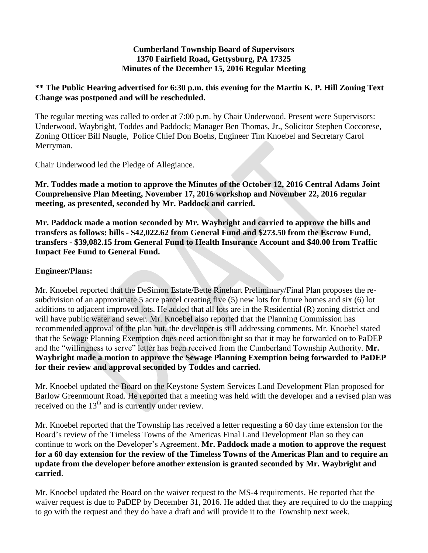#### **Cumberland Township Board of Supervisors 1370 Fairfield Road, Gettysburg, PA 17325 Minutes of the December 15, 2016 Regular Meeting**

### **\*\* The Public Hearing advertised for 6:30 p.m. this evening for the Martin K. P. Hill Zoning Text Change was postponed and will be rescheduled.**

The regular meeting was called to order at 7:00 p.m. by Chair Underwood. Present were Supervisors: Underwood, Waybright, Toddes and Paddock; Manager Ben Thomas, Jr., Solicitor Stephen Coccorese, Zoning Officer Bill Naugle, Police Chief Don Boehs, Engineer Tim Knoebel and Secretary Carol Merryman.

Chair Underwood led the Pledge of Allegiance.

**Mr. Toddes made a motion to approve the Minutes of the October 12, 2016 Central Adams Joint Comprehensive Plan Meeting, November 17, 2016 workshop and November 22, 2016 regular meeting, as presented, seconded by Mr. Paddock and carried.**

**Mr. Paddock made a motion seconded by Mr. Waybright and carried to approve the bills and transfers as follows: bills - \$42,022.62 from General Fund and \$273.50 from the Escrow Fund, transfers - \$39,082.15 from General Fund to Health Insurance Account and \$40.00 from Traffic Impact Fee Fund to General Fund.**

### **Engineer/Plans:**

Mr. Knoebel reported that the DeSimon Estate/Bette Rinehart Preliminary/Final Plan proposes the resubdivision of an approximate 5 acre parcel creating five (5) new lots for future homes and six (6) lot additions to adjacent improved lots. He added that all lots are in the Residential (R) zoning district and will have public water and sewer. Mr. Knoebel also reported that the Planning Commission has recommended approval of the plan but, the developer is still addressing comments. Mr. Knoebel stated that the Sewage Planning Exemption does need action tonight so that it may be forwarded on to PaDEP and the "willingness to serve" letter has been received from the Cumberland Township Authority. **Mr. Waybright made a motion to approve the Sewage Planning Exemption being forwarded to PaDEP for their review and approval seconded by Toddes and carried.**

Mr. Knoebel updated the Board on the Keystone System Services Land Development Plan proposed for Barlow Greenmount Road. He reported that a meeting was held with the developer and a revised plan was received on the 13<sup>th</sup> and is currently under review.

Mr. Knoebel reported that the Township has received a letter requesting a 60 day time extension for the Board's review of the Timeless Towns of the Americas Final Land Development Plan so they can continue to work on the Developer's Agreement. **Mr. Paddock made a motion to approve the request for a 60 day extension for the review of the Timeless Towns of the Americas Plan and to require an update from the developer before another extension is granted seconded by Mr. Waybright and carried**.

Mr. Knoebel updated the Board on the waiver request to the MS-4 requirements. He reported that the waiver request is due to PaDEP by December 31, 2016. He added that they are required to do the mapping to go with the request and they do have a draft and will provide it to the Township next week.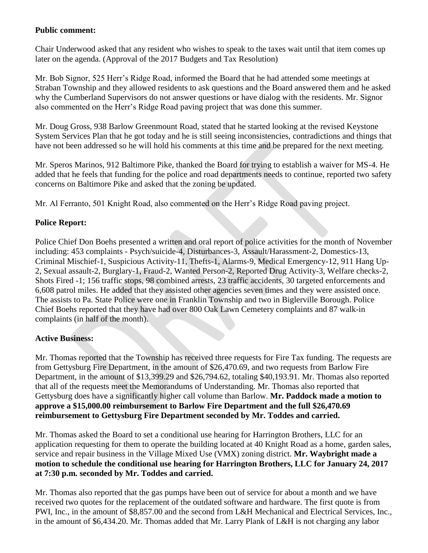### **Public comment:**

Chair Underwood asked that any resident who wishes to speak to the taxes wait until that item comes up later on the agenda. (Approval of the 2017 Budgets and Tax Resolution)

Mr. Bob Signor, 525 Herr's Ridge Road, informed the Board that he had attended some meetings at Straban Township and they allowed residents to ask questions and the Board answered them and he asked why the Cumberland Supervisors do not answer questions or have dialog with the residents. Mr. Signor also commented on the Herr's Ridge Road paving project that was done this summer.

Mr. Doug Gross, 938 Barlow Greenmount Road, stated that he started looking at the revised Keystone System Services Plan that he got today and he is still seeing inconsistencies, contradictions and things that have not been addressed so he will hold his comments at this time and be prepared for the next meeting.

Mr. Speros Marinos, 912 Baltimore Pike, thanked the Board for trying to establish a waiver for MS-4. He added that he feels that funding for the police and road departments needs to continue, reported two safety concerns on Baltimore Pike and asked that the zoning be updated.

Mr. Al Ferranto, 501 Knight Road, also commented on the Herr's Ridge Road paving project.

# **Police Report:**

Police Chief Don Boehs presented a written and oral report of police activities for the month of November including: 453 complaints - Psych/suicide-4, Disturbances-3, Assault/Harassment-2, Domestics-13, Criminal Mischief-1, Suspicious Activity-11, Thefts-1, Alarms-9, Medical Emergency-12, 911 Hang Up-2, Sexual assault-2, Burglary-1, Fraud-2, Wanted Person-2, Reported Drug Activity-3, Welfare checks-2, Shots Fired -1; 156 traffic stops, 98 combined arrests, 23 traffic accidents, 30 targeted enforcements and 6,608 patrol miles. He added that they assisted other agencies seven times and they were assisted once. The assists to Pa. State Police were one in Franklin Township and two in Biglerville Borough. Police Chief Boehs reported that they have had over 800 Oak Lawn Cemetery complaints and 87 walk-in complaints (in half of the month).

# **Active Business:**

Mr. Thomas reported that the Township has received three requests for Fire Tax funding. The requests are from Gettysburg Fire Department, in the amount of \$26,470.69, and two requests from Barlow Fire Department, in the amount of \$13,399.29 and \$26,794.62, totaling \$40,193.91. Mr. Thomas also reported that all of the requests meet the Memorandums of Understanding. Mr. Thomas also reported that Gettysburg does have a significantly higher call volume than Barlow. **Mr. Paddock made a motion to approve a \$15,000.00 reimbursement to Barlow Fire Department and the full \$26,470.69 reimbursement to Gettysburg Fire Department seconded by Mr. Toddes and carried.**

Mr. Thomas asked the Board to set a conditional use hearing for Harrington Brothers, LLC for an application requesting for them to operate the building located at 40 Knight Road as a home, garden sales, service and repair business in the Village Mixed Use (VMX) zoning district. **Mr. Waybright made a motion to schedule the conditional use hearing for Harrington Brothers, LLC for January 24, 2017 at 7:30 p.m. seconded by Mr. Toddes and carried.**

Mr. Thomas also reported that the gas pumps have been out of service for about a month and we have received two quotes for the replacement of the outdated software and hardware. The first quote is from PWI, Inc., in the amount of \$8,857.00 and the second from L&H Mechanical and Electrical Services, Inc., in the amount of \$6,434.20. Mr. Thomas added that Mr. Larry Plank of L&H is not charging any labor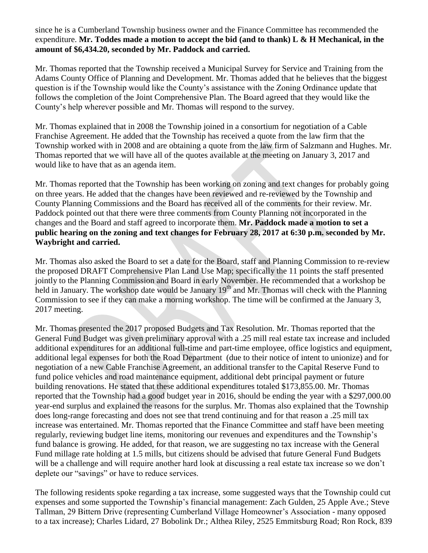since he is a Cumberland Township business owner and the Finance Committee has recommended the expenditure. **Mr. Toddes made a motion to accept the bid (and to thank) L & H Mechanical, in the amount of \$6,434.20, seconded by Mr. Paddock and carried.**

Mr. Thomas reported that the Township received a Municipal Survey for Service and Training from the Adams County Office of Planning and Development. Mr. Thomas added that he believes that the biggest question is if the Township would like the County's assistance with the Zoning Ordinance update that follows the completion of the Joint Comprehensive Plan. The Board agreed that they would like the County's help wherever possible and Mr. Thomas will respond to the survey.

Mr. Thomas explained that in 2008 the Township joined in a consortium for negotiation of a Cable Franchise Agreement. He added that the Township has received a quote from the law firm that the Township worked with in 2008 and are obtaining a quote from the law firm of Salzmann and Hughes. Mr. Thomas reported that we will have all of the quotes available at the meeting on January 3, 2017 and would like to have that as an agenda item.

Mr. Thomas reported that the Township has been working on zoning and text changes for probably going on three years. He added that the changes have been reviewed and re-reviewed by the Township and County Planning Commissions and the Board has received all of the comments for their review. Mr. Paddock pointed out that there were three comments from County Planning not incorporated in the changes and the Board and staff agreed to incorporate them. **Mr. Paddock made a motion to set a public hearing on the zoning and text changes for February 28, 2017 at 6:30 p.m. seconded by Mr. Waybright and carried.**

Mr. Thomas also asked the Board to set a date for the Board, staff and Planning Commission to re-review the proposed DRAFT Comprehensive Plan Land Use Map; specifically the 11 points the staff presented jointly to the Planning Commission and Board in early November. He recommended that a workshop be held in January. The workshop date would be January 19<sup>th</sup> and Mr. Thomas will check with the Planning Commission to see if they can make a morning workshop. The time will be confirmed at the January 3, 2017 meeting.

Mr. Thomas presented the 2017 proposed Budgets and Tax Resolution. Mr. Thomas reported that the General Fund Budget was given preliminary approval with a .25 mill real estate tax increase and included additional expenditures for an additional full-time and part-time employee, office logistics and equipment, additional legal expenses for both the Road Department (due to their notice of intent to unionize) and for negotiation of a new Cable Franchise Agreement, an additional transfer to the Capital Reserve Fund to fund police vehicles and road maintenance equipment, additional debt principal payment or future building renovations. He stated that these additional expenditures totaled \$173,855.00. Mr. Thomas reported that the Township had a good budget year in 2016, should be ending the year with a \$297,000.00 year-end surplus and explained the reasons for the surplus. Mr. Thomas also explained that the Township does long-range forecasting and does not see that trend continuing and for that reason a .25 mill tax increase was entertained. Mr. Thomas reported that the Finance Committee and staff have been meeting regularly, reviewing budget line items, monitoring our revenues and expenditures and the Township's fund balance is growing. He added, for that reason, we are suggesting no tax increase with the General Fund millage rate holding at 1.5 mills, but citizens should be advised that future General Fund Budgets will be a challenge and will require another hard look at discussing a real estate tax increase so we don't deplete our "savings" or have to reduce services.

The following residents spoke regarding a tax increase, some suggested ways that the Township could cut expenses and some supported the Township's financial management: Zach Gulden, 25 Apple Ave.; Steve Tallman, 29 Bittern Drive (representing Cumberland Village Homeowner's Association - many opposed to a tax increase); Charles Lidard, 27 Bobolink Dr.; Althea Riley, 2525 Emmitsburg Road; Ron Rock, 839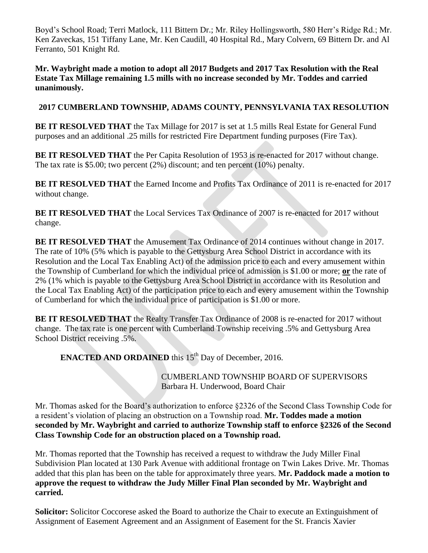Boyd's School Road; Terri Matlock, 111 Bittern Dr.; Mr. Riley Hollingsworth, 580 Herr's Ridge Rd.; Mr. Ken Zaveckas, 151 Tiffany Lane, Mr. Ken Caudill, 40 Hospital Rd., Mary Colvern, 69 Bittern Dr. and Al Ferranto, 501 Knight Rd.

**Mr. Waybright made a motion to adopt all 2017 Budgets and 2017 Tax Resolution with the Real Estate Tax Millage remaining 1.5 mills with no increase seconded by Mr. Toddes and carried unanimously.**

### **2017 CUMBERLAND TOWNSHIP, ADAMS COUNTY, PENNSYLVANIA TAX RESOLUTION**

**BE IT RESOLVED THAT** the Tax Millage for 2017 is set at 1.5 mills Real Estate for General Fund purposes and an additional .25 mills for restricted Fire Department funding purposes (Fire Tax).

**BE IT RESOLVED THAT** the Per Capita Resolution of 1953 is re-enacted for 2017 without change. The tax rate is \$5.00; two percent (2%) discount; and ten percent (10%) penalty.

**BE IT RESOLVED THAT** the Earned Income and Profits Tax Ordinance of 2011 is re-enacted for 2017 without change.

**BE IT RESOLVED THAT** the Local Services Tax Ordinance of 2007 is re-enacted for 2017 without change.

**BE IT RESOLVED THAT** the Amusement Tax Ordinance of 2014 continues without change in 2017. The rate of 10% (5% which is payable to the Gettysburg Area School District in accordance with its Resolution and the Local Tax Enabling Act) of the admission price to each and every amusement within the Township of Cumberland for which the individual price of admission is \$1.00 or more; **or** the rate of 2% (1% which is payable to the Gettysburg Area School District in accordance with its Resolution and the Local Tax Enabling Act) of the participation price to each and every amusement within the Township of Cumberland for which the individual price of participation is \$1.00 or more.

**BE IT RESOLVED THAT** the Realty Transfer Tax Ordinance of 2008 is re-enacted for 2017 without change. The tax rate is one percent with Cumberland Township receiving .5% and Gettysburg Area School District receiving .5%.

**ENACTED AND ORDAINED** this 15<sup>th</sup> Day of December, 2016.

CUMBERLAND TOWNSHIP BOARD OF SUPERVISORS Barbara H. Underwood, Board Chair

Mr. Thomas asked for the Board's authorization to enforce §2326 of the Second Class Township Code for a resident's violation of placing an obstruction on a Township road. **Mr. Toddes made a motion seconded by Mr. Waybright and carried to authorize Township staff to enforce §2326 of the Second Class Township Code for an obstruction placed on a Township road.**

Mr. Thomas reported that the Township has received a request to withdraw the Judy Miller Final Subdivision Plan located at 130 Park Avenue with additional frontage on Twin Lakes Drive. Mr. Thomas added that this plan has been on the table for approximately three years. **Mr. Paddock made a motion to approve the request to withdraw the Judy Miller Final Plan seconded by Mr. Waybright and carried.**

**Solicitor:** Solicitor Coccorese asked the Board to authorize the Chair to execute an Extinguishment of Assignment of Easement Agreement and an Assignment of Easement for the St. Francis Xavier